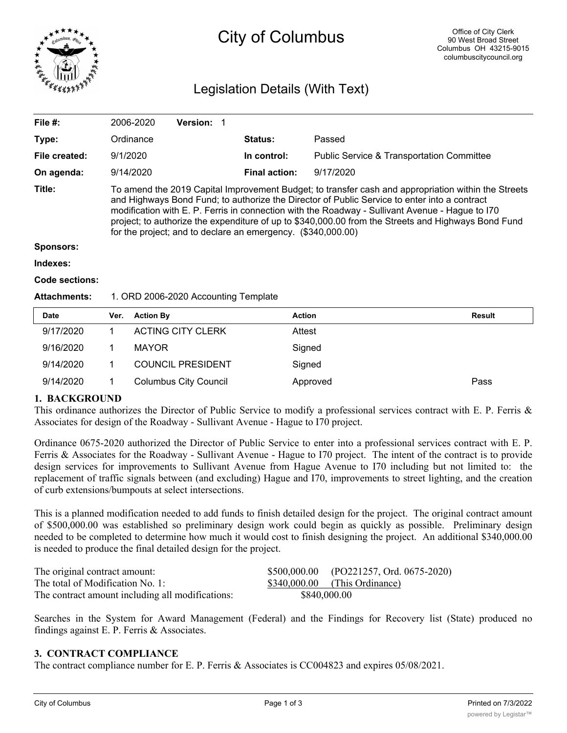

# City of Columbus

## Legislation Details (With Text)

| File #:             | 2006-2020                                                                                                                                                                                                                                                                                                                                                                                                                                                                     | <b>Version:</b> |                      |                                                      |  |  |
|---------------------|-------------------------------------------------------------------------------------------------------------------------------------------------------------------------------------------------------------------------------------------------------------------------------------------------------------------------------------------------------------------------------------------------------------------------------------------------------------------------------|-----------------|----------------------|------------------------------------------------------|--|--|
| Type:               | Ordinance                                                                                                                                                                                                                                                                                                                                                                                                                                                                     |                 | <b>Status:</b>       | Passed                                               |  |  |
| File created:       | 9/1/2020                                                                                                                                                                                                                                                                                                                                                                                                                                                                      |                 | In control:          | <b>Public Service &amp; Transportation Committee</b> |  |  |
| On agenda:          | 9/14/2020                                                                                                                                                                                                                                                                                                                                                                                                                                                                     |                 | <b>Final action:</b> | 9/17/2020                                            |  |  |
| Title:              | To amend the 2019 Capital Improvement Budget; to transfer cash and appropriation within the Streets<br>and Highways Bond Fund; to authorize the Director of Public Service to enter into a contract<br>modification with E. P. Ferris in connection with the Roadway - Sullivant Avenue - Hague to I70<br>project; to authorize the expenditure of up to \$340,000.00 from the Streets and Highways Bond Fund<br>for the project; and to declare an emergency. (\$340,000.00) |                 |                      |                                                      |  |  |
| <b>Sponsors:</b>    |                                                                                                                                                                                                                                                                                                                                                                                                                                                                               |                 |                      |                                                      |  |  |
| Indexes:            |                                                                                                                                                                                                                                                                                                                                                                                                                                                                               |                 |                      |                                                      |  |  |
| Code sections:      |                                                                                                                                                                                                                                                                                                                                                                                                                                                                               |                 |                      |                                                      |  |  |
| <b>Attachments:</b> | 1. ORD 2006-2020 Accounting Template                                                                                                                                                                                                                                                                                                                                                                                                                                          |                 |                      |                                                      |  |  |

| <b>Date</b> | Ver. | <b>Action By</b>             | <b>Action</b> | <b>Result</b> |
|-------------|------|------------------------------|---------------|---------------|
| 9/17/2020   |      | <b>ACTING CITY CLERK</b>     | Attest        |               |
| 9/16/2020   |      | <b>MAYOR</b>                 | Signed        |               |
| 9/14/2020   |      | <b>COUNCIL PRESIDENT</b>     | Signed        |               |
| 9/14/2020   |      | <b>Columbus City Council</b> | Approved      | Pass          |

### **1. BACKGROUND**

This ordinance authorizes the Director of Public Service to modify a professional services contract with E. P. Ferris & Associates for design of the Roadway - Sullivant Avenue - Hague to I70 project.

Ordinance 0675-2020 authorized the Director of Public Service to enter into a professional services contract with E. P. Ferris & Associates for the Roadway - Sullivant Avenue - Hague to I70 project. The intent of the contract is to provide design services for improvements to Sullivant Avenue from Hague Avenue to I70 including but not limited to: the replacement of traffic signals between (and excluding) Hague and I70, improvements to street lighting, and the creation of curb extensions/bumpouts at select intersections.

This is a planned modification needed to add funds to finish detailed design for the project. The original contract amount of \$500,000.00 was established so preliminary design work could begin as quickly as possible. Preliminary design needed to be completed to determine how much it would cost to finish designing the project. An additional \$340,000.00 is needed to produce the final detailed design for the project.

| The original contract amount:                    |              | $$500,000.00$ (PO221257, Ord. 0675-2020) |
|--------------------------------------------------|--------------|------------------------------------------|
| The total of Modification No. 1:                 |              | $$340,000.00$ (This Ordinance)           |
| The contract amount including all modifications: | \$840,000.00 |                                          |

Searches in the System for Award Management (Federal) and the Findings for Recovery list (State) produced no findings against E. P. Ferris & Associates.

#### **3. CONTRACT COMPLIANCE**

The contract compliance number for E. P. Ferris & Associates is CC004823 and expires 05/08/2021.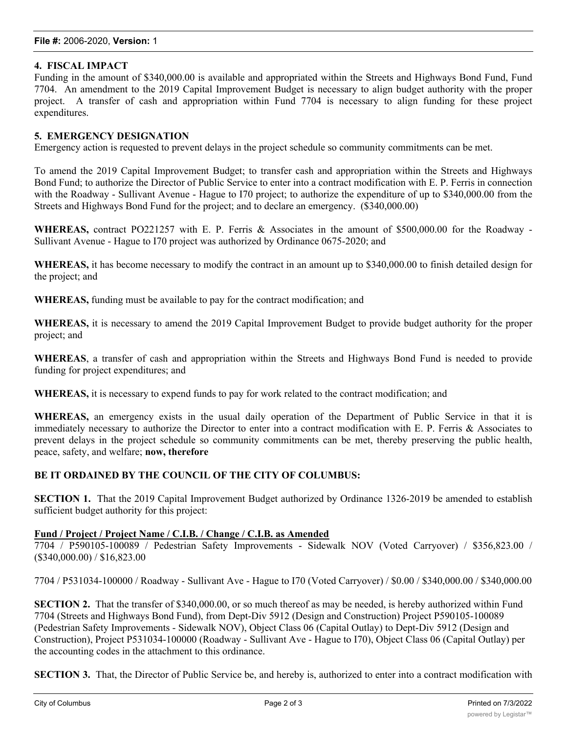#### **4. FISCAL IMPACT**

Funding in the amount of \$340,000.00 is available and appropriated within the Streets and Highways Bond Fund, Fund 7704. An amendment to the 2019 Capital Improvement Budget is necessary to align budget authority with the proper project. A transfer of cash and appropriation within Fund 7704 is necessary to align funding for these project expenditures.

#### **5. EMERGENCY DESIGNATION**

Emergency action is requested to prevent delays in the project schedule so community commitments can be met.

To amend the 2019 Capital Improvement Budget; to transfer cash and appropriation within the Streets and Highways Bond Fund; to authorize the Director of Public Service to enter into a contract modification with E. P. Ferris in connection with the Roadway - Sullivant Avenue - Hague to I70 project; to authorize the expenditure of up to \$340,000.00 from the Streets and Highways Bond Fund for the project; and to declare an emergency. (\$340,000.00)

**WHEREAS,** contract PO221257 with E. P. Ferris & Associates in the amount of \$500,000.00 for the Roadway - Sullivant Avenue - Hague to I70 project was authorized by Ordinance 0675-2020; and

**WHEREAS,** it has become necessary to modify the contract in an amount up to \$340,000.00 to finish detailed design for the project; and

**WHEREAS,** funding must be available to pay for the contract modification; and

**WHEREAS,** it is necessary to amend the 2019 Capital Improvement Budget to provide budget authority for the proper project; and

**WHEREAS**, a transfer of cash and appropriation within the Streets and Highways Bond Fund is needed to provide funding for project expenditures; and

**WHEREAS,** it is necessary to expend funds to pay for work related to the contract modification; and

**WHEREAS,** an emergency exists in the usual daily operation of the Department of Public Service in that it is immediately necessary to authorize the Director to enter into a contract modification with E. P. Ferris & Associates to prevent delays in the project schedule so community commitments can be met, thereby preserving the public health, peace, safety, and welfare; **now, therefore**

#### **BE IT ORDAINED BY THE COUNCIL OF THE CITY OF COLUMBUS:**

**SECTION 1.** That the 2019 Capital Improvement Budget authorized by Ordinance 1326-2019 be amended to establish sufficient budget authority for this project:

#### **Fund / Project / Project Name / C.I.B. / Change / C.I.B. as Amended**

7704 / P590105-100089 / Pedestrian Safety Improvements - Sidewalk NOV (Voted Carryover) / \$356,823.00 / (\$340,000.00) / \$16,823.00

7704 / P531034-100000 / Roadway - Sullivant Ave - Hague to I70 (Voted Carryover) / \$0.00 / \$340,000.00 / \$340,000.00

**SECTION 2.** That the transfer of \$340,000.00, or so much thereof as may be needed, is hereby authorized within Fund 7704 (Streets and Highways Bond Fund), from Dept-Div 5912 (Design and Construction) Project P590105-100089 (Pedestrian Safety Improvements - Sidewalk NOV), Object Class 06 (Capital Outlay) to Dept-Div 5912 (Design and Construction), Project P531034-100000 (Roadway - Sullivant Ave - Hague to I70), Object Class 06 (Capital Outlay) per the accounting codes in the attachment to this ordinance.

**SECTION 3.** That, the Director of Public Service be, and hereby is, authorized to enter into a contract modification with